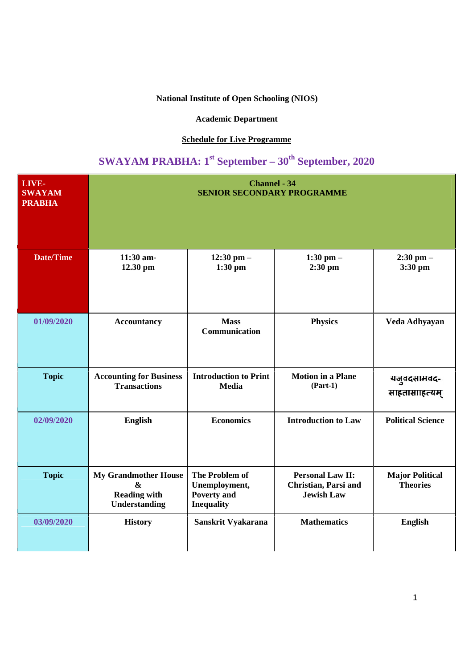## **National Institute of Open Schooling (NIOS)**

## **Academic Department**

## **Schedule for Live Programme**

## **SWAYAM PRABHA: 1st September – 30th September, 2020**

| <b>LIVE-</b><br><b>SWAYAM</b><br><b>PRABHA</b> | <b>Channel - 34</b><br><b>SENIOR SECONDARY PROGRAMME</b>                                        |                                                                                   |                                                                      |                                           |  |
|------------------------------------------------|-------------------------------------------------------------------------------------------------|-----------------------------------------------------------------------------------|----------------------------------------------------------------------|-------------------------------------------|--|
| <b>Date/Time</b>                               | 11:30 am-<br>12.30 pm                                                                           | 12:30 pm $-$<br>$1:30$ pm                                                         | 1:30 pm $-$<br>$2:30$ pm                                             | $2:30$ pm $-$<br>3:30 pm                  |  |
| 01/09/2020                                     | <b>Accountancy</b>                                                                              | <b>Mass</b><br>Communication                                                      | <b>Physics</b>                                                       | Veda Adhyayan                             |  |
| <b>Topic</b>                                   | <b>Accounting for Business</b><br><b>Transactions</b>                                           | <b>Introduction to Print</b><br><b>Media</b>                                      | <b>Motion in a Plane</b><br>$(Part-1)$                               | यजुवदसामवद-<br>साहतासााहत्यम्             |  |
| 02/09/2020                                     | English                                                                                         | <b>Economics</b>                                                                  | <b>Introduction to Law</b>                                           | <b>Political Science</b>                  |  |
| <b>Topic</b>                                   | <b>My Grandmother House</b><br>$\boldsymbol{\&}$<br><b>Reading with</b><br><b>Understanding</b> | <b>The Problem of</b><br>Unemployment,<br><b>Poverty and</b><br><b>Inequality</b> | <b>Personal Law II:</b><br>Christian, Parsi and<br><b>Jewish Law</b> | <b>Major Political</b><br><b>Theories</b> |  |
| 03/09/2020                                     | <b>History</b>                                                                                  | Sanskrit Vyakarana                                                                | <b>Mathematics</b>                                                   | <b>English</b>                            |  |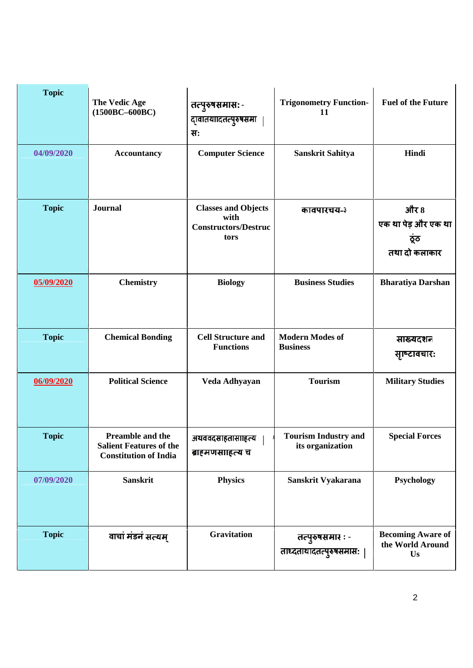| <b>Topic</b><br>04/09/2020 | <b>The Vedic Age</b><br>$(1500BC-600BC)$<br><b>Accountancy</b>                     | तत्पुरुषसमासः -<br>दावातयाादतत्पुरुषसमा  <br>सः<br><b>Computer Science</b> | <b>Trigonometry Function-</b><br>11<br>Sanskrit Sahitya | <b>Fuel of the Future</b><br>Hindi                   |
|----------------------------|------------------------------------------------------------------------------------|----------------------------------------------------------------------------|---------------------------------------------------------|------------------------------------------------------|
| <b>Topic</b>               | Journal                                                                            | <b>Classes and Objects</b><br>with<br><b>Constructors/Destruc</b><br>tors  | कावपारचय-३                                              | और 8<br>एक था पेड़ और एक था<br>ठूंठ<br>तथा दो कलाकार |
| 05/09/2020                 | <b>Chemistry</b>                                                                   | <b>Biology</b>                                                             | <b>Business Studies</b>                                 | <b>Bharatiya Darshan</b>                             |
| <b>Topic</b>               | <b>Chemical Bonding</b>                                                            | <b>Cell Structure and</b><br><b>Functions</b>                              | <b>Modern Modes of</b><br><b>Business</b>               | साख्यदशन<br>साष्टावचार:                              |
| 06/09/2020                 | <b>Political Science</b>                                                           | Veda Adhyayan                                                              | <b>Tourism</b>                                          | <b>Military Studies</b>                              |
| <b>Topic</b>               | Preamble and the<br><b>Salient Features of the</b><br><b>Constitution of India</b> | अथववदसाहतासााहत्य<br>ब्राहमणसाहित्य च                                      | <b>Tourism Industry and</b><br>its organization         | <b>Special Forces</b>                                |
| 07/09/2020                 | <b>Sanskrit</b>                                                                    | <b>Physics</b>                                                             | Sanskrit Vyakarana                                      | Psychology                                           |
| <b>Topic</b>               | वाचां मंडनं सत्यम्                                                                 | Gravitation                                                                | तत्पुरुषसमार : -<br>ताध्दताथादतत्पुरुषसमासः             | <b>Becoming Aware of</b><br>the World Around<br>Us   |

 $\mathbf{I}$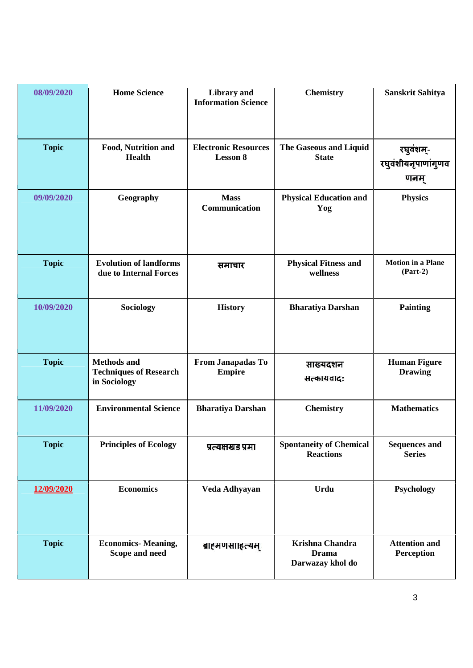| 08/09/2020   | <b>Home Science</b>                                                 | <b>Library</b> and<br><b>Information Science</b> | <b>Chemistry</b>                                           | <b>Sanskrit Sahitya</b>                  |
|--------------|---------------------------------------------------------------------|--------------------------------------------------|------------------------------------------------------------|------------------------------------------|
| <b>Topic</b> | Food, Nutrition and<br><b>Health</b>                                | <b>Electronic Resources</b><br><b>Lesson 8</b>   | The Gaseous and Liquid<br><b>State</b>                     | रघुवंशम्-<br>रघुवंशीयनृपाणांगुणव<br>णनम् |
| 09/09/2020   | Geography                                                           | <b>Mass</b><br>Communication                     | <b>Physical Education and</b><br>Yog                       | <b>Physics</b>                           |
| <b>Topic</b> | <b>Evolution of landforms</b><br>due to Internal Forces             | समाचार                                           | <b>Physical Fitness and</b><br>wellness                    | <b>Motion in a Plane</b><br>$(Part-2)$   |
| 10/09/2020   | <b>Sociology</b>                                                    | <b>History</b>                                   | <b>Bharatiya Darshan</b>                                   | <b>Painting</b>                          |
| <b>Topic</b> | <b>Methods and</b><br><b>Techniques of Research</b><br>in Sociology | From Janapadas To<br><b>Empire</b>               | साख्यदशन<br>सत्कायवादः                                     | <b>Human Figure</b><br><b>Drawing</b>    |
| 11/09/2020   | <b>Environmental Science</b>                                        | <b>Bharatiya Darshan</b>                         | <b>Chemistry</b>                                           | <b>Mathematics</b>                       |
| <b>Topic</b> | <b>Principles of Ecology</b>                                        | प्रत्यक्षखंड प्रमा                               | <b>Spontaneity of Chemical</b><br><b>Reactions</b>         | <b>Sequences and</b><br><b>Series</b>    |
| 12/09/2020   | <b>Economics</b>                                                    | Veda Adhyayan                                    | <b>Urdu</b>                                                | Psychology                               |
| <b>Topic</b> | <b>Economics- Meaning,</b><br>Scope and need                        | ब्राहमणसाहित्यम्                                 | <b>Krishna Chandra</b><br><b>Drama</b><br>Darwazay khol do | <b>Attention and</b><br>Perception       |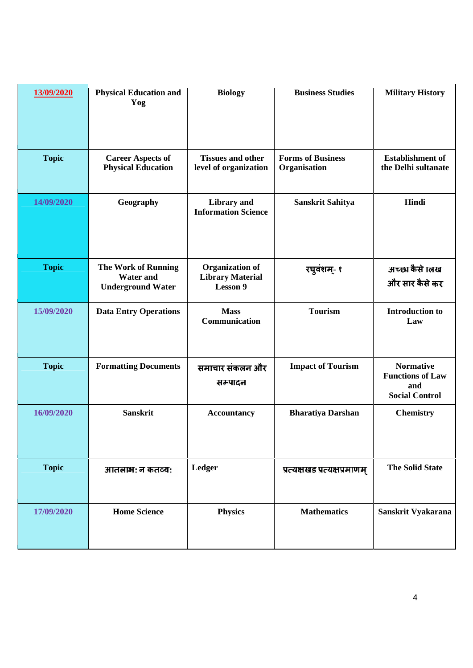| 13/09/2020   | <b>Physical Education and</b><br>Yog                                       | <b>Biology</b>                                                | <b>Business Studies</b>                  | <b>Military History</b>                                                     |
|--------------|----------------------------------------------------------------------------|---------------------------------------------------------------|------------------------------------------|-----------------------------------------------------------------------------|
| <b>Topic</b> | <b>Career Aspects of</b><br><b>Physical Education</b>                      | <b>Tissues and other</b><br>level of organization             | <b>Forms of Business</b><br>Organisation | <b>Establishment</b> of<br>the Delhi sultanate                              |
| 14/09/2020   | Geography                                                                  | <b>Library</b> and<br><b>Information Science</b>              | <b>Sanskrit Sahitya</b>                  | Hindi                                                                       |
| <b>Topic</b> | <b>The Work of Running</b><br><b>Water and</b><br><b>Underground Water</b> | <b>Organization of</b><br><b>Library Material</b><br>Lesson 9 | रघुवंशम्- १                              | अच्छा कैसे ालख<br>और सार कैसे कर                                            |
| 15/09/2020   | <b>Data Entry Operations</b>                                               | <b>Mass</b><br>Communication                                  | <b>Tourism</b>                           | <b>Introduction to</b><br>Law                                               |
| <b>Topic</b> | <b>Formatting Documents</b>                                                | समाचार संकलन और<br>सम्पादन                                    | <b>Impact of Tourism</b>                 | <b>Normative</b><br><b>Functions of Law</b><br>and<br><b>Social Control</b> |
| 16/09/2020   | <b>Sanskrit</b>                                                            | <b>Accountancy</b>                                            | <b>Bharatiya Darshan</b>                 | <b>Chemistry</b>                                                            |
| <b>Topic</b> | आतलाभः न कतव्यः                                                            | Ledger                                                        | प्रत्यक्षखंड प्रत्यक्षप्रमाणम्           | <b>The Solid State</b>                                                      |
| 17/09/2020   | <b>Home Science</b>                                                        | <b>Physics</b>                                                | <b>Mathematics</b>                       | Sanskrit Vyakarana                                                          |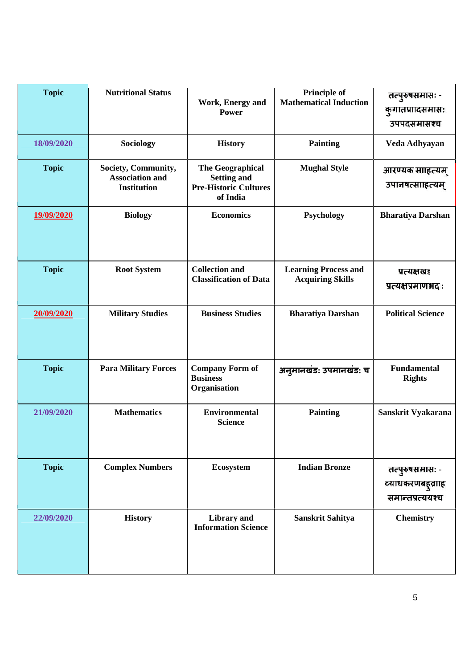| <b>Topic</b> | <b>Nutritional Status</b>                                           | Work, Energy and<br><b>Power</b>                                                          | <b>Principle of</b><br><b>Mathematical Induction</b>   | तत्पुरुषसमासः -<br>कुगातप्राादसमासः<br>उपपदसमासश्च     |
|--------------|---------------------------------------------------------------------|-------------------------------------------------------------------------------------------|--------------------------------------------------------|--------------------------------------------------------|
| 18/09/2020   | Sociology                                                           | <b>History</b>                                                                            | <b>Painting</b>                                        | Veda Adhyayan                                          |
| <b>Topic</b> | Society, Community,<br><b>Association and</b><br><b>Institution</b> | <b>The Geographical</b><br><b>Setting and</b><br><b>Pre-Historic Cultures</b><br>of India | <b>Mughal Style</b>                                    | आरण्यक साहित्यम्<br>उपानषत्साहित्यम्                   |
| 19/09/2020   | <b>Biology</b>                                                      | <b>Economics</b>                                                                          | Psychology                                             | <b>Bharatiya Darshan</b>                               |
| <b>Topic</b> | <b>Root System</b>                                                  | <b>Collection and</b><br><b>Classification of Data</b>                                    | <b>Learning Process and</b><br><b>Acquiring Skills</b> | प्रत्यक्षखड<br>प्रत्यक्षप्रमाणभदाः                     |
| 20/09/2020   | <b>Military Studies</b>                                             | <b>Business Studies</b>                                                                   | <b>Bharatiya Darshan</b>                               | <b>Political Science</b>                               |
| <b>Topic</b> | <b>Para Military Forces</b>                                         | <b>Company Form of</b><br><b>Business</b><br>Organisation                                 | अनुमानखंड: उपमानखंड: च                                 | <b>Fundamental</b><br><b>Rights</b>                    |
| 21/09/2020   | <b>Mathematics</b>                                                  | <b>Environmental</b><br><b>Science</b>                                                    | <b>Painting</b>                                        | Sanskrit Vyakarana                                     |
| <b>Topic</b> | <b>Complex Numbers</b>                                              | Ecosystem                                                                                 | <b>Indian Bronze</b>                                   | तत्पुरुषसमास: -<br>व्याधकरणबह्वााह<br>समान्तप्रत्ययश्च |
| 22/09/2020   | <b>History</b>                                                      | <b>Library</b> and<br><b>Information Science</b>                                          | <b>Sanskrit Sahitya</b>                                | <b>Chemistry</b>                                       |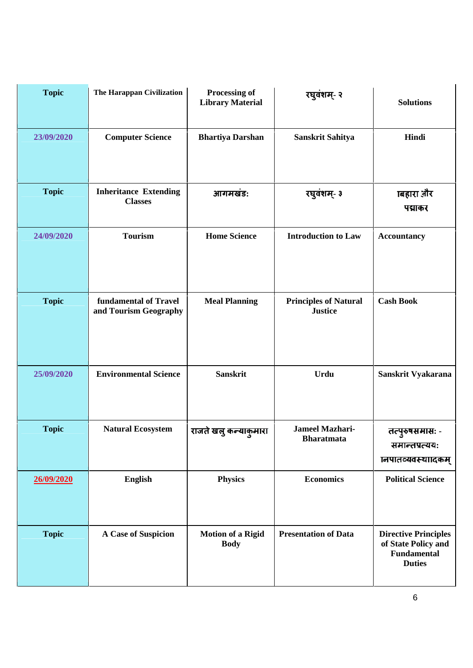| <b>Topic</b> | The Harappan Civilization                      | Processing of<br><b>Library Material</b> | रघुवंशम्- २                                    | <b>Solutions</b>                                                                          |
|--------------|------------------------------------------------|------------------------------------------|------------------------------------------------|-------------------------------------------------------------------------------------------|
| 23/09/2020   | <b>Computer Science</b>                        | <b>Bhartiya Darshan</b>                  | Sanskrit Sahitya                               | Hindi                                                                                     |
| <b>Topic</b> | <b>Inheritance Extending</b><br><b>Classes</b> | आगमखंड:                                  | रघुवंशम्- ३                                    | ाबहारा और<br>पद्माकर                                                                      |
| 24/09/2020   | <b>Tourism</b>                                 | <b>Home Science</b>                      | <b>Introduction to Law</b>                     | <b>Accountancy</b>                                                                        |
| <b>Topic</b> | fundamental of Travel<br>and Tourism Geography | <b>Meal Planning</b>                     | <b>Principles of Natural</b><br><b>Justice</b> | <b>Cash Book</b>                                                                          |
| 25/09/2020   | <b>Environmental Science</b>                   | <b>Sanskrit</b>                          | Urdu                                           | Sanskrit Vyakarana                                                                        |
| <b>Topic</b> | <b>Natural Ecosystem</b>                       | राजते खलु कन्याकुमारा                    | <b>Jameel Mazhari-</b><br><b>Bharatmata</b>    | तत्पुरुषसमास: -<br>समान्तप्रत्यय:<br>ानपातव्यवस्था।दकम                                    |
| 26/09/2020   | <b>English</b>                                 | <b>Physics</b>                           | <b>Economics</b>                               | <b>Political Science</b>                                                                  |
| <b>Topic</b> | A Case of Suspicion                            | <b>Motion of a Rigid</b><br><b>Body</b>  | <b>Presentation of Data</b>                    | <b>Directive Principles</b><br>of State Policy and<br><b>Fundamental</b><br><b>Duties</b> |